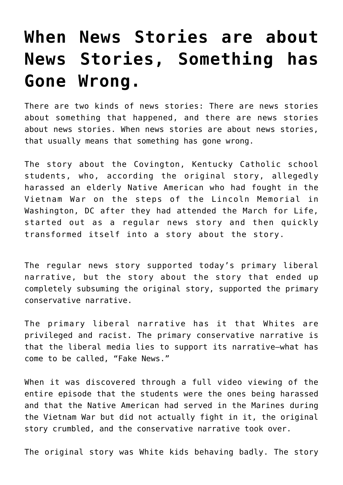## **[When News Stories are about](https://intellectualtakeout.org/2019/01/when-news-stories-are-about-news-stories-something-has-gone-wrong/) [News Stories, Something has](https://intellectualtakeout.org/2019/01/when-news-stories-are-about-news-stories-something-has-gone-wrong/) [Gone Wrong.](https://intellectualtakeout.org/2019/01/when-news-stories-are-about-news-stories-something-has-gone-wrong/)**

There are two kinds of news stories: There are news stories about something that happened, and there are news stories about news stories. When news stories are about news stories, that usually means that something has gone wrong.

The story about the Covington, Kentucky Catholic school students, who, according the original story, allegedly harassed an elderly Native American who had fought in the Vietnam War on the steps of the Lincoln Memorial in Washington, DC after they had attended the March for Life, started out as a regular news story and then quickly transformed itself into a story about the story.

The regular news story supported today's primary liberal narrative, but the story about the story that ended up completely subsuming the original story, supported the primary conservative narrative.

The primary liberal narrative has it that Whites are privileged and racist. The primary conservative narrative is that the liberal media lies to support its narrative–what has come to be called, "Fake News."

When it was discovered through a full video viewing of the entire episode that the students were the ones being harassed and that the Native American had served in the Marines during the Vietnam War but did not actually fight in it, the original story crumbled, and the conservative narrative took over.

The original story was White kids behaving badly. The story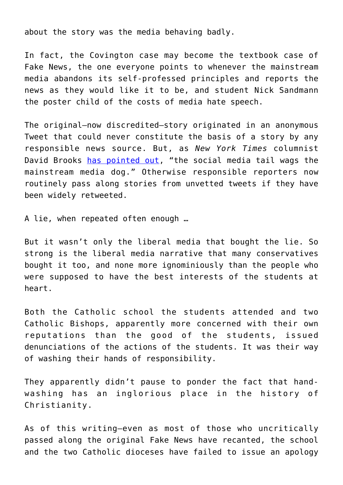about the story was the media behaving badly.

In fact, the Covington case may become the textbook case of Fake News, the one everyone points to whenever the mainstream media abandons its self-professed principles and reports the news as they would like it to be, and student Nick Sandmann the poster child of the costs of media hate speech.

The original–now discredited–story originated in an anonymous Tweet that could never constitute the basis of a story by any responsible news source. But, as *New York Times* columnist David Brooks [has pointed out,](https://www.nytimes.com/2019/01/21/opinion/covington-march-for-life.html) "the social media tail wags the mainstream media dog." Otherwise responsible reporters now routinely pass along stories from unvetted tweets if they have been widely retweeted.

A lie, when repeated often enough …

But it wasn't only the liberal media that bought the lie. So strong is the liberal media narrative that many conservatives bought it too, and none more ignominiously than the people who were supposed to have the best interests of the students at heart.

Both the Catholic school the students attended and two Catholic Bishops, apparently more concerned with their own reputations than the good of the students, issued denunciations of the actions of the students. It was their way of washing their hands of responsibility.

They apparently didn't pause to ponder the fact that handwashing has an inglorious place in the history of Christianity.

As of this writing–even as most of those who uncritically passed along the original Fake News have recanted, the school and the two Catholic dioceses have failed to issue an apology